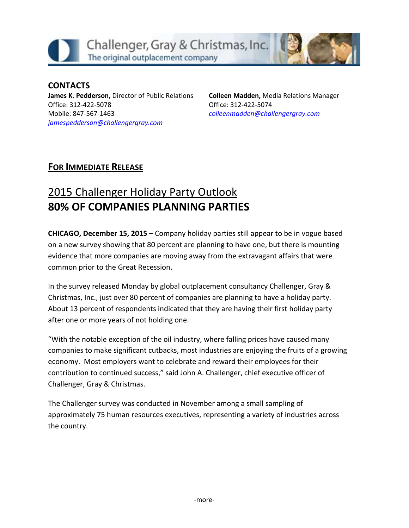

#### **CONTACTS James K. Pedderson,** Director of Public Relations Office: 312-422-5078 Mobile: 847-567-1463 *[jamespedderson@challengergray.com](mailto:jamespedderson@challengergray.com)*

**Colleen Madden,** Media Relations Manager Office: 312-422-5074 *[colleenmadden@challengergray.com](mailto:colleenmadden@challengergray.com)*

### **FOR IMMEDIATE RELEASE**

# 2015 Challenger Holiday Party Outlook **80% OF COMPANIES PLANNING PARTIES**

**CHICAGO, December 15, 2015 –** Company holiday parties still appear to be in vogue based on a new survey showing that 80 percent are planning to have one, but there is mounting evidence that more companies are moving away from the extravagant affairs that were common prior to the Great Recession.

In the survey released Monday by global outplacement consultancy Challenger, Gray & Christmas, Inc., just over 80 percent of companies are planning to have a holiday party. About 13 percent of respondents indicated that they are having their first holiday party after one or more years of not holding one.

"With the notable exception of the oil industry, where falling prices have caused many companies to make significant cutbacks, most industries are enjoying the fruits of a growing economy. Most employers want to celebrate and reward their employees for their contribution to continued success," said John A. Challenger, chief executive officer of Challenger, Gray & Christmas.

The Challenger survey was conducted in November among a small sampling of approximately 75 human resources executives, representing a variety of industries across the country.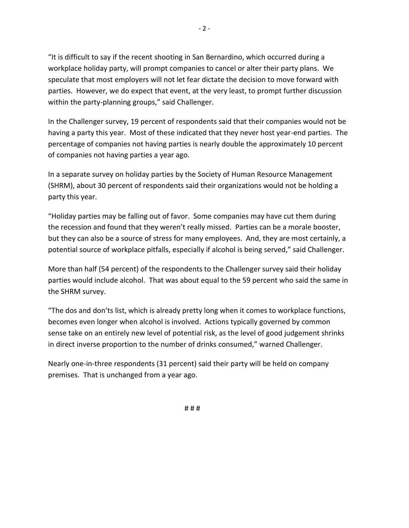"It is difficult to say if the recent shooting in San Bernardino, which occurred during a workplace holiday party, will prompt companies to cancel or alter their party plans. We speculate that most employers will not let fear dictate the decision to move forward with parties. However, we do expect that event, at the very least, to prompt further discussion within the party-planning groups," said Challenger.

In the Challenger survey, 19 percent of respondents said that their companies would not be having a party this year. Most of these indicated that they never host year-end parties. The percentage of companies not having parties is nearly double the approximately 10 percent of companies not having parties a year ago.

In a separate survey on holiday parties by the Society of Human Resource Management (SHRM), about 30 percent of respondents said their organizations would not be holding a party this year.

"Holiday parties may be falling out of favor. Some companies may have cut them during the recession and found that they weren't really missed. Parties can be a morale booster, but they can also be a source of stress for many employees. And, they are most certainly, a potential source of workplace pitfalls, especially if alcohol is being served," said Challenger.

More than half (54 percent) of the respondents to the Challenger survey said their holiday parties would include alcohol. That was about equal to the 59 percent who said the same in the SHRM survey.

"The dos and don'ts list, which is already pretty long when it comes to workplace functions, becomes even longer when alcohol is involved. Actions typically governed by common sense take on an entirely new level of potential risk, as the level of good judgement shrinks in direct inverse proportion to the number of drinks consumed," warned Challenger.

Nearly one-in-three respondents (31 percent) said their party will be held on company premises. That is unchanged from a year ago.

# # #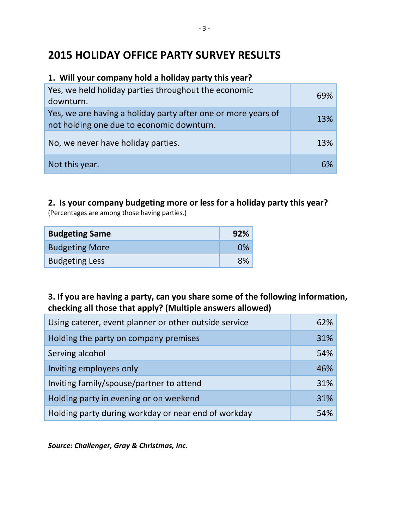## **2015 HOLIDAY OFFICE PARTY SURVEY RESULTS**

#### **1. Will your company hold a holiday party this year?**

| Yes, we held holiday parties throughout the economic<br>downturn.                                          | 69% |
|------------------------------------------------------------------------------------------------------------|-----|
| Yes, we are having a holiday party after one or more years of<br>not holding one due to economic downturn. | 13% |
| No, we never have holiday parties.                                                                         | 13% |
| Not this year.                                                                                             | 6%  |

# **2. Is your company budgeting more or less for a holiday party this year?**

(Percentages are among those having parties.)

| <b>Budgeting Same</b> | 92% |
|-----------------------|-----|
| <b>Budgeting More</b> | 0%  |
| <b>Budgeting Less</b> | 8%  |

#### **3. If you are having a party, can you share some of the following information, checking all those that apply? (Multiple answers allowed)**

| Using caterer, event planner or other outside service | 62% |
|-------------------------------------------------------|-----|
| Holding the party on company premises                 | 31% |
| Serving alcohol                                       | 54% |
| Inviting employees only                               | 46% |
| Inviting family/spouse/partner to attend              | 31% |
| Holding party in evening or on weekend                | 31% |
| Holding party during workday or near end of workday   | 54% |

*Source: Challenger, Gray & Christmas, Inc.*